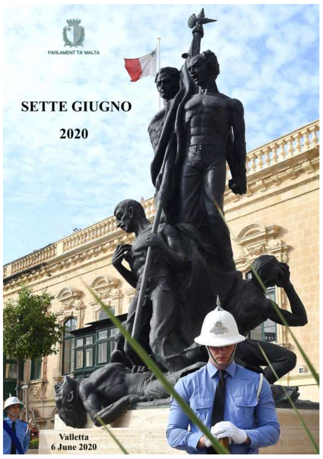

## **SETTE GIUGNO**

2020

**Valletta 6 June 2020**  ël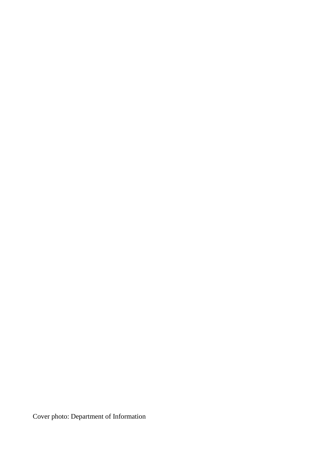Cover photo: Department of Information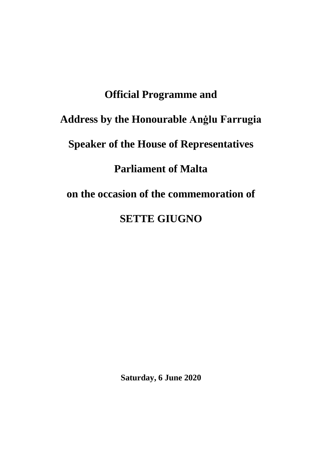## **Official Programme and Address by the Honourable Anġlu Farrugia Speaker of the House of Representatives Parliament of Malta on the occasion of the commemoration of SETTE GIUGNO**

**Saturday, 6 June 2020**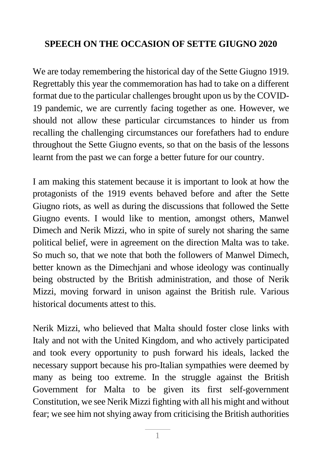## **SPEECH ON THE OCCASION OF SETTE GIUGNO 2020**

We are today remembering the historical day of the Sette Giugno 1919. Regrettably this year the commemoration has had to take on a different format due to the particular challenges brought upon us by the COVID-19 pandemic, we are currently facing together as one. However, we should not allow these particular circumstances to hinder us from recalling the challenging circumstances our forefathers had to endure throughout the Sette Giugno events, so that on the basis of the lessons learnt from the past we can forge a better future for our country.

I am making this statement because it is important to look at how the protagonists of the 1919 events behaved before and after the Sette Giugno riots, as well as during the discussions that followed the Sette Giugno events. I would like to mention, amongst others, Manwel Dimech and Nerik Mizzi, who in spite of surely not sharing the same political belief, were in agreement on the direction Malta was to take. So much so, that we note that both the followers of Manwel Dimech, better known as the Dimechjani and whose ideology was continually being obstructed by the British administration, and those of Nerik Mizzi, moving forward in unison against the British rule. Various historical documents attest to this.

Nerik Mizzi, who believed that Malta should foster close links with Italy and not with the United Kingdom, and who actively participated and took every opportunity to push forward his ideals, lacked the necessary support because his pro-Italian sympathies were deemed by many as being too extreme. In the struggle against the British Government for Malta to be given its first self-government Constitution, we see Nerik Mizzi fighting with all his might and without fear; we see him not shying away from criticising the British authorities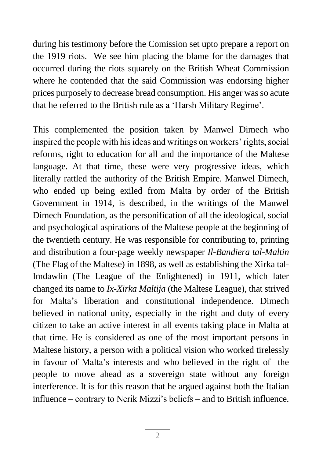during his testimony before the Comission set upto prepare a report on the 1919 riots. We see him placing the blame for the damages that occurred during the riots squarely on the British Wheat Commission where he contended that the said Commission was endorsing higher prices purposely to decrease bread consumption. His anger was so acute that he referred to the British rule as a 'Harsh Military Regime'.

This complemented the position taken by Manwel Dimech who inspired the people with his ideas and writings on workers' rights, social reforms, right to education for all and the importance of the Maltese language. At that time, these were very progressive ideas, which literally rattled the authority of the British Empire. Manwel Dimech, who ended up being exiled from Malta by order of the British Government in 1914, is described, in the writings of the Manwel Dimech Foundation, as the personification of all the ideological, social and psychological aspirations of the Maltese people at the beginning of the twentieth century. He was responsible for contributing to, printing and distribution a four-page weekly newspaper *Il-Bandiera tal-Maltin* (The Flag of the Maltese) in 1898, as well as establishing the Xirka tal-Imdawlin (The League of the Enlightened) in 1911, which later changed its name to *Ix-Xirka Maltija* (the Maltese League), that strived for Malta's liberation and constitutional independence. Dimech believed in national unity, especially in the right and duty of every citizen to take an active interest in all events taking place in Malta at that time. He is considered as one of the most important persons in Maltese history, a person with a political vision who worked tirelessly in favour of Malta's interests and who believed in the right of the people to move ahead as a sovereign state without any foreign interference. It is for this reason that he argued against both the Italian influence – contrary to Nerik Mizzi's beliefs – and to British influence.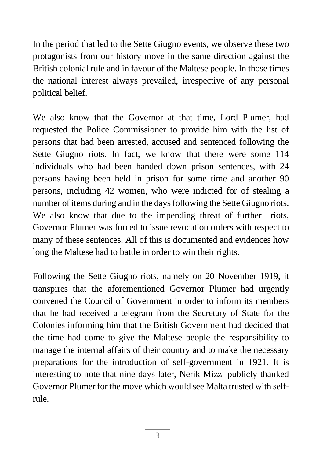In the period that led to the Sette Giugno events, we observe these two protagonists from our history move in the same direction against the British colonial rule and in favour of the Maltese people. In those times the national interest always prevailed, irrespective of any personal political belief.

We also know that the Governor at that time, Lord Plumer, had requested the Police Commissioner to provide him with the list of persons that had been arrested, accused and sentenced following the Sette Giugno riots. In fact, we know that there were some 114 individuals who had been handed down prison sentences, with 24 persons having been held in prison for some time and another 90 persons, including 42 women, who were indicted for of stealing a number of items during and in the days following the Sette Giugno riots. We also know that due to the impending threat of further riots, Governor Plumer was forced to issue revocation orders with respect to many of these sentences. All of this is documented and evidences how long the Maltese had to battle in order to win their rights.

Following the Sette Giugno riots, namely on 20 November 1919, it transpires that the aforementioned Governor Plumer had urgently convened the Council of Government in order to inform its members that he had received a telegram from the Secretary of State for the Colonies informing him that the British Government had decided that the time had come to give the Maltese people the responsibility to manage the internal affairs of their country and to make the necessary preparations for the introduction of self-government in 1921. It is interesting to note that nine days later, Nerik Mizzi publicly thanked Governor Plumer for the move which would see Malta trusted with selfrule.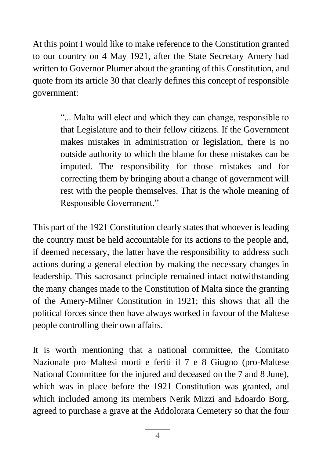At this point I would like to make reference to the Constitution granted to our country on 4 May 1921, after the State Secretary Amery had written to Governor Plumer about the granting of this Constitution, and quote from its article 30 that clearly defines this concept of responsible government:

> "... Malta will elect and which they can change, responsible to that Legislature and to their fellow citizens. If the Government makes mistakes in administration or legislation, there is no outside authority to which the blame for these mistakes can be imputed. The responsibility for those mistakes and for correcting them by bringing about a change of government will rest with the people themselves. That is the whole meaning of Responsible Government."

This part of the 1921 Constitution clearly states that whoever is leading the country must be held accountable for its actions to the people and, if deemed necessary, the latter have the responsibility to address such actions during a general election by making the necessary changes in leadership. This sacrosanct principle remained intact notwithstanding the many changes made to the Constitution of Malta since the granting of the Amery-Milner Constitution in 1921; this shows that all the political forces since then have always worked in favour of the Maltese people controlling their own affairs.

It is worth mentioning that a national committee, the Comitato Nazionale pro Maltesi morti e feriti il 7 e 8 Giugno (pro-Maltese National Committee for the injured and deceased on the 7 and 8 June), which was in place before the 1921 Constitution was granted, and which included among its members Nerik Mizzi and Edoardo Borg, agreed to purchase a grave at the Addolorata Cemetery so that the four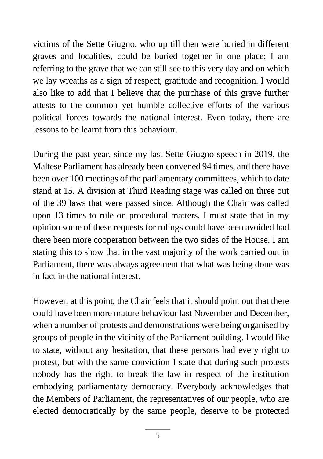victims of the Sette Giugno, who up till then were buried in different graves and localities, could be buried together in one place; I am referring to the grave that we can still see to this very day and on which we lay wreaths as a sign of respect, gratitude and recognition. I would also like to add that I believe that the purchase of this grave further attests to the common yet humble collective efforts of the various political forces towards the national interest. Even today, there are lessons to be learnt from this behaviour.

During the past year, since my last Sette Giugno speech in 2019, the Maltese Parliament has already been convened 94 times, and there have been over 100 meetings of the parliamentary committees, which to date stand at 15. A division at Third Reading stage was called on three out of the 39 laws that were passed since. Although the Chair was called upon 13 times to rule on procedural matters, I must state that in my opinion some of these requests for rulings could have been avoided had there been more cooperation between the two sides of the House. I am stating this to show that in the vast majority of the work carried out in Parliament, there was always agreement that what was being done was in fact in the national interest.

However, at this point, the Chair feels that it should point out that there could have been more mature behaviour last November and December, when a number of protests and demonstrations were being organised by groups of people in the vicinity of the Parliament building. I would like to state, without any hesitation, that these persons had every right to protest, but with the same conviction I state that during such protests nobody has the right to break the law in respect of the institution embodying parliamentary democracy. Everybody acknowledges that the Members of Parliament, the representatives of our people, who are elected democratically by the same people, deserve to be protected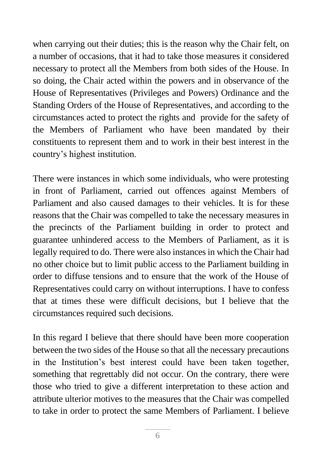when carrying out their duties; this is the reason why the Chair felt, on a number of occasions, that it had to take those measures it considered necessary to protect all the Members from both sides of the House. In so doing, the Chair acted within the powers and in observance of the House of Representatives (Privileges and Powers) Ordinance and the Standing Orders of the House of Representatives, and according to the circumstances acted to protect the rights and provide for the safety of the Members of Parliament who have been mandated by their constituents to represent them and to work in their best interest in the country's highest institution.

There were instances in which some individuals, who were protesting in front of Parliament, carried out offences against Members of Parliament and also caused damages to their vehicles. It is for these reasons that the Chair was compelled to take the necessary measures in the precincts of the Parliament building in order to protect and guarantee unhindered access to the Members of Parliament, as it is legally required to do. There were also instances in which the Chair had no other choice but to limit public access to the Parliament building in order to diffuse tensions and to ensure that the work of the House of Representatives could carry on without interruptions. I have to confess that at times these were difficult decisions, but I believe that the circumstances required such decisions.

In this regard I believe that there should have been more cooperation between the two sides of the House so that all the necessary precautions in the Institution's best interest could have been taken together, something that regrettably did not occur. On the contrary, there were those who tried to give a different interpretation to these action and attribute ulterior motives to the measures that the Chair was compelled to take in order to protect the same Members of Parliament. I believe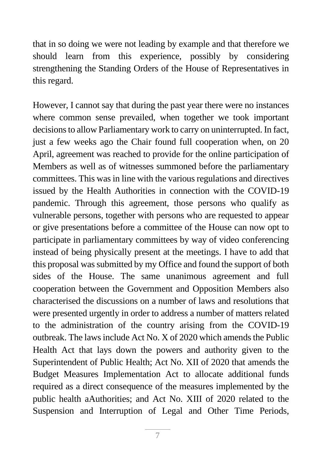that in so doing we were not leading by example and that therefore we should learn from this experience, possibly by considering strengthening the Standing Orders of the House of Representatives in this regard.

However, I cannot say that during the past year there were no instances where common sense prevailed, when together we took important decisions to allow Parliamentary work to carry on uninterrupted. In fact, just a few weeks ago the Chair found full cooperation when, on 20 April, agreement was reached to provide for the online participation of Members as well as of witnesses summoned before the parliamentary committees. This was in line with the various regulations and directives issued by the Health Authorities in connection with the COVID-19 pandemic. Through this agreement, those persons who qualify as vulnerable persons, together with persons who are requested to appear or give presentations before a committee of the House can now opt to participate in parliamentary committees by way of video conferencing instead of being physically present at the meetings. I have to add that this proposal was submitted by my Office and found the support of both sides of the House. The same unanimous agreement and full cooperation between the Government and Opposition Members also characterised the discussions on a number of laws and resolutions that were presented urgently in order to address a number of matters related to the administration of the country arising from the COVID-19 outbreak. The laws include Act No. X of 2020 which amends the Public Health Act that lays down the powers and authority given to the Superintendent of Public Health; Act No. XII of 2020 that amends the Budget Measures Implementation Act to allocate additional funds required as a direct consequence of the measures implemented by the public health aAuthorities; and Act No. XIII of 2020 related to the Suspension and Interruption of Legal and Other Time Periods,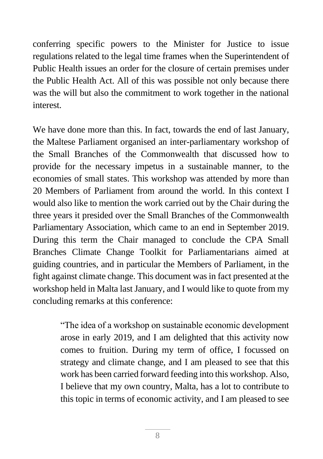conferring specific powers to the Minister for Justice to issue regulations related to the legal time frames when the Superintendent of Public Health issues an order for the closure of certain premises under the Public Health Act. All of this was possible not only because there was the will but also the commitment to work together in the national interest.

We have done more than this. In fact, towards the end of last January, the Maltese Parliament organised an inter-parliamentary workshop of the Small Branches of the Commonwealth that discussed how to provide for the necessary impetus in a sustainable manner, to the economies of small states. This workshop was attended by more than 20 Members of Parliament from around the world. In this context I would also like to mention the work carried out by the Chair during the three years it presided over the Small Branches of the Commonwealth Parliamentary Association, which came to an end in September 2019. During this term the Chair managed to conclude the CPA Small Branches Climate Change Toolkit for Parliamentarians aimed at guiding countries, and in particular the Members of Parliament, in the fight against climate change. This document was in fact presented at the workshop held in Malta last January, and I would like to quote from my concluding remarks at this conference:

> "The idea of a workshop on sustainable economic development arose in early 2019, and I am delighted that this activity now comes to fruition. During my term of office, I focussed on strategy and climate change, and I am pleased to see that this work has been carried forward feeding into this workshop. Also, I believe that my own country, Malta, has a lot to contribute to this topic in terms of economic activity, and I am pleased to see